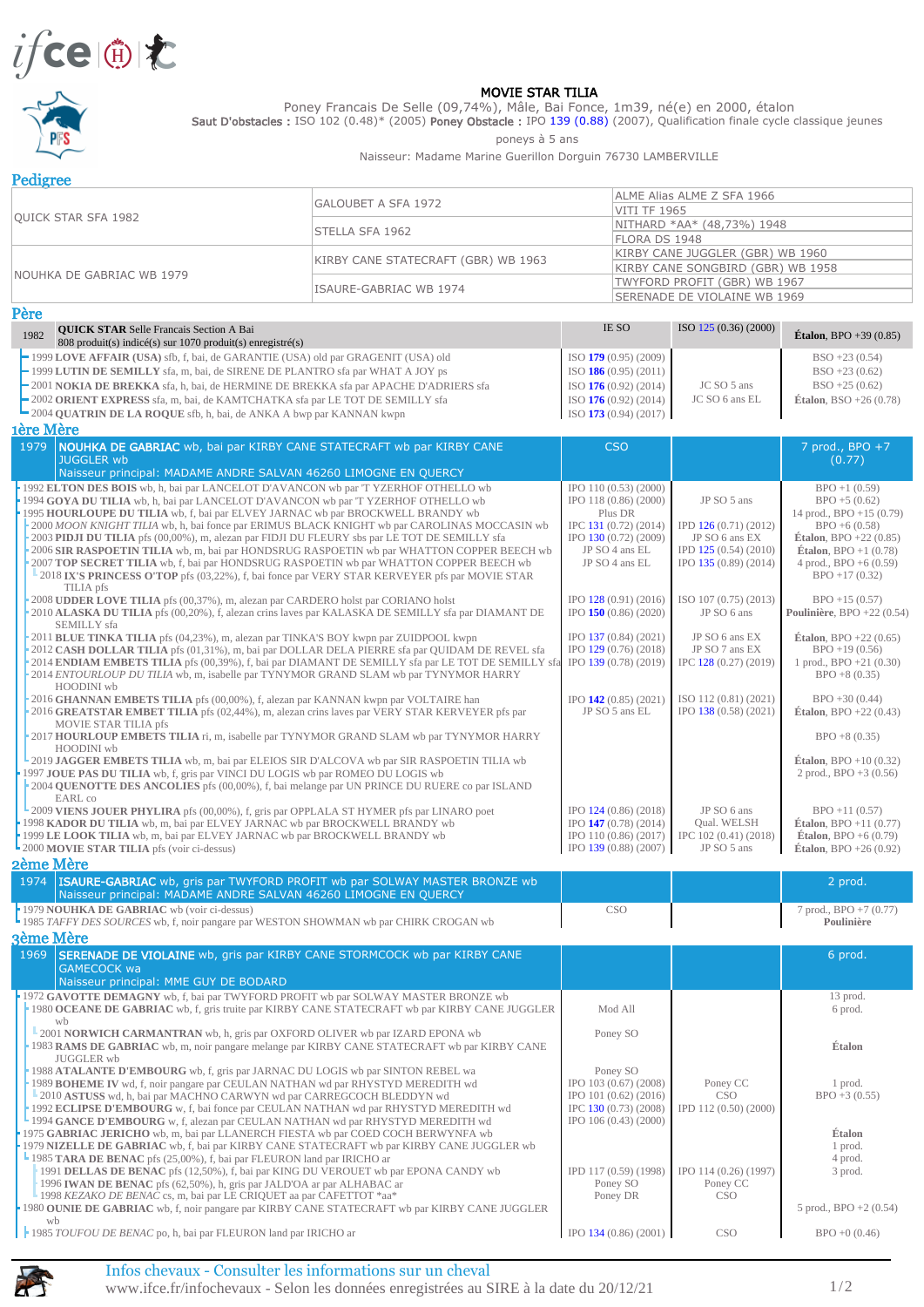



## MOVIE STAR TILIA

Poney Francais De Selle (09,74%), Mâle, Bai Fonce, 1m39, né(e) en 2000, étalon

Saut D'obstacles : ISO 102 (0.48)\* (2005) Poney Obstacle : IPO 139 (0.88) (2007), Qualification finale cycle classique jeunes

poneys à 5 ans

Naisseur: Madame Marine Guerillon Dorguin 76730 LAMBERVILLE

| Pedigree                   |                                     |                                   |  |  |
|----------------------------|-------------------------------------|-----------------------------------|--|--|
|                            | IGALOUBET A SFA 1972                | ALME Alias ALME Z SFA 1966        |  |  |
| <b>OUICK STAR SFA 1982</b> |                                     | <b>VITI TF 1965</b>               |  |  |
|                            |                                     | NITHARD *AA* (48,73%) 1948        |  |  |
|                            | <b>STELLA SFA 1962</b>              | <b>FLORA DS 1948</b>              |  |  |
|                            |                                     | KIRBY CANE JUGGLER (GBR) WB 1960  |  |  |
|                            | KIRBY CANE STATECRAFT (GBR) WB 1963 | KIRBY CANE SONGBIRD (GBR) WB 1958 |  |  |
| INOUHKA DE GABRIAC WB 1979 |                                     | TWYFORD PROFIT (GBR) WB 1967      |  |  |
|                            | ISAURE-GABRIAC WB 1974              | SERENADE DE VIOLAINE WB 1969      |  |  |

| Père                                                                                                                                                                                                                                                                                                                                                                                                                                                                                                                                                                                                                                                                                                                                                                                                                                                                                                                                                                                                                                                                                                                                                                                                                                                                                                                                                                                                                                                                                                                                                                                                                                                                                      |                                                                                                                                                                                                                                                                                                                         |                                                                                                                                                                                                                                                                 |                                                                                                                                                                                                                                                                                                                                                                                                                                             |
|-------------------------------------------------------------------------------------------------------------------------------------------------------------------------------------------------------------------------------------------------------------------------------------------------------------------------------------------------------------------------------------------------------------------------------------------------------------------------------------------------------------------------------------------------------------------------------------------------------------------------------------------------------------------------------------------------------------------------------------------------------------------------------------------------------------------------------------------------------------------------------------------------------------------------------------------------------------------------------------------------------------------------------------------------------------------------------------------------------------------------------------------------------------------------------------------------------------------------------------------------------------------------------------------------------------------------------------------------------------------------------------------------------------------------------------------------------------------------------------------------------------------------------------------------------------------------------------------------------------------------------------------------------------------------------------------|-------------------------------------------------------------------------------------------------------------------------------------------------------------------------------------------------------------------------------------------------------------------------------------------------------------------------|-----------------------------------------------------------------------------------------------------------------------------------------------------------------------------------------------------------------------------------------------------------------|---------------------------------------------------------------------------------------------------------------------------------------------------------------------------------------------------------------------------------------------------------------------------------------------------------------------------------------------------------------------------------------------------------------------------------------------|
| <b>QUICK STAR Selle Francais Section A Bai</b><br>1982<br>808 produit(s) indicé(s) sur 1070 produit(s) enregistré(s)                                                                                                                                                                                                                                                                                                                                                                                                                                                                                                                                                                                                                                                                                                                                                                                                                                                                                                                                                                                                                                                                                                                                                                                                                                                                                                                                                                                                                                                                                                                                                                      | <b>IE SO</b>                                                                                                                                                                                                                                                                                                            | ISO 125 (0.36) (2000)                                                                                                                                                                                                                                           | <b>Étalon.</b> BPO $+39(0.85)$                                                                                                                                                                                                                                                                                                                                                                                                              |
| -1999 LOVE AFFAIR (USA) sfb, f, bai, de GARANTIE (USA) old par GRAGENIT (USA) old<br>-1999 LUTIN DE SEMILLY sfa, m, bai, de SIRENE DE PLANTRO sfa par WHAT A JOY ps<br>-2001 NOKIA DE BREKKA sfa, h, bai, de HERMINE DE BREKKA sfa par APACHE D'ADRIERS sfa<br>-2002 ORIENT EXPRESS sfa, m, bai, de KAMTCHATKA sfa par LE TOT DE SEMILLY sfa<br>$\blacksquare$ 2004 QUATRIN DE LA ROQUE sfb, h, bai, de ANKA A bwp par KANNAN kwpn                                                                                                                                                                                                                                                                                                                                                                                                                                                                                                                                                                                                                                                                                                                                                                                                                                                                                                                                                                                                                                                                                                                                                                                                                                                        | ISO $179(0.95)(2009)$<br>ISO $186(0.95)(2011)$<br>ISO $176(0.92)(2014)$<br>$ISO$ 176 (0.92) (2014)<br>$ISO$ 173 (0.94) (2017)                                                                                                                                                                                           | JC SO 5 ans<br>JC SO 6 ans EL                                                                                                                                                                                                                                   | $BSO + 23(0.54)$<br>$BSO + 23(0.62)$<br>$BSO + 25(0.62)$<br><b>Étalon</b> , BSO +26 $(0.78)$                                                                                                                                                                                                                                                                                                                                                |
| 1ère Mère                                                                                                                                                                                                                                                                                                                                                                                                                                                                                                                                                                                                                                                                                                                                                                                                                                                                                                                                                                                                                                                                                                                                                                                                                                                                                                                                                                                                                                                                                                                                                                                                                                                                                 |                                                                                                                                                                                                                                                                                                                         |                                                                                                                                                                                                                                                                 |                                                                                                                                                                                                                                                                                                                                                                                                                                             |
| NOUHKA DE GABRIAC wb, bai par KIRBY CANE STATECRAFT wb par KIRBY CANE<br>1979<br><b>JUGGLER wb</b><br>Naisseur principal: MADAME ANDRE SALVAN 46260 LIMOGNE EN QUERCY                                                                                                                                                                                                                                                                                                                                                                                                                                                                                                                                                                                                                                                                                                                                                                                                                                                                                                                                                                                                                                                                                                                                                                                                                                                                                                                                                                                                                                                                                                                     | <b>CSO</b>                                                                                                                                                                                                                                                                                                              |                                                                                                                                                                                                                                                                 | 7 prod., BPO +7<br>(0.77)                                                                                                                                                                                                                                                                                                                                                                                                                   |
| 1992 ELTON DES BOIS wb, h, bai par LANCELOT D'AVANCON wb par 'T YZERHOF OTHELLO wb<br>1994 GOYA DU TILIA wb, h, bai par LANCELOT D'AVANCON wb par 'T YZERHOF OTHELLO wb<br>1995 HOURLOUPE DU TILIA wb, f, bai par ELVEY JARNAC wb par BROCKWELL BRANDY wb<br>-2000 MOON KNIGHT TILIA wb, h, bai fonce par ERIMUS BLACK KNIGHT wb par CAROLINAS MOCCASIN wb<br>2003 PIDJI DU TILIA pfs (00,00%), m, alezan par FIDJI DU FLEURY sbs par LE TOT DE SEMILLY sfa<br>2006 SIR RASPOETIN TILIA wb, m, bai par HONDSRUG RASPOETIN wb par WHATTON COPPER BEECH wb<br>2007 TOP SECRET TILIA wb, f, bai par HONDSRUG RASPOETIN wb par WHATTON COPPER BEECH wb<br>2018 IX'S PRINCESS O'TOP pfs (03,22%), f, bai fonce par VERY STAR KERVEYER pfs par MOVIE STAR<br>TILIA pfs<br>2008 UDDER LOVE TILIA pfs (00,37%), m, alezan par CARDERO holst par CORIANO holst<br>2010 ALASKA DU TILIA pfs (00,20%), f, alezan crins laves par KALASKA DE SEMILLY sfa par DIAMANT DE<br>SEMILLY sfa<br>2011 BLUE TINKA TILIA pfs (04,23%), m, alezan par TINKA'S BOY kwpn par ZUIDPOOL kwpn<br>2012 CASH DOLLAR TILIA pfs (01,31%), m, bai par DOLLAR DELA PIERRE sfa par QUIDAM DE REVEL sfa<br>2014 ENDIAM EMBETS TILIA pfs (00,39%), f, bai par DIAMANT DE SEMILLY sfa par LE TOT DE SEMILLY sfa<br>2014 ENTOURLOUP DU TILIA wb, m, isabelle par TYNYMOR GRAND SLAM wb par TYNYMOR HARRY<br>HOODINI wb<br>2016 GHANNAN EMBETS TILIA pfs (00,00%), f, alezan par KANNAN kwpn par VOLTAIRE han<br>2016 GREATSTAR EMBET TILIA pfs (02,44%), m, alezan crins laves par VERY STAR KERVEYER pfs par<br>MOVIE STAR TILIA pfs<br>2017 HOURLOUP EMBETS TILIA ri, m, isabelle par TYNYMOR GRAND SLAM wb par TYNYMOR HARRY | IPO 110 (0.53) (2000)<br>IPO 118 (0.86) (2000)<br>Plus DR<br>IPC 131 (0.72) (2014)<br>IPO 130 (0.72) (2009)<br>JP SO 4 ans EL<br>JP SO 4 ans EL<br>IPO 128 (0.91) (2016)<br>IPO $150(0.86)(2020)$<br>IPO 137 (0.84) (2021)<br>IPO 129 (0.76) (2018)<br>IPO 139 (0.78) (2019)<br>IPO $142(0.85)(2021)$<br>JP SO 5 ans EL | JP SO 5 ans<br>IPD 126 (0.71) (2012)<br>JP SO 6 ans EX<br>IPD 125 (0.54) (2010)<br>IPO 135 (0.89) (2014)<br>ISO 107 (0.75) (2013)<br>JP SO 6 ans<br>JP SO 6 ans EX<br>JP SO 7 ans EX<br>IPC 128 (0.27) (2019)<br>ISO 112 (0.81) (2021)<br>IPO 138 (0.58) (2021) | $BPO + 1(0.59)$<br>$BPO + 5(0.62)$<br>14 prod., BPO $+15(0.79)$<br>$BPO + 6(0.58)$<br><b>Étalon</b> , BPO +22 $(0.85)$<br><b>Étalon.</b> BPO $+1$ (0.78)<br>4 prod., BPO $+6(0.59)$<br>$BPO + 17(0.32)$<br>$BPO + 15(0.57)$<br>Poulinière, BPO +22 $(0.54)$<br><b>Étalon.</b> BPO $+22$ (0.65)<br>$BPO + 19(0.56)$<br>1 prod., $BPO + 21(0.30)$<br>$BPO + 8(0.35)$<br>$BPO + 30(0.44)$<br><b>Étalon.</b> BPO $+22(0.43)$<br>$BPO + 8(0.35)$ |
| HOODINI wb<br><b>-2019 JAGGER EMBETS TILIA</b> wb, m, bai par ELEIOS SIR D'ALCOVA wb par SIR RASPOETIN TILIA wb<br>1997 JOUE PAS DU TILIA wb, f, gris par VINCI DU LOGIS wb par ROMEO DU LOGIS wb<br>2004 OUENOTTE DES ANCOLIES pfs (00,00%), f, bai melange par UN PRINCE DU RUERE co par ISLAND<br>EARL co                                                                                                                                                                                                                                                                                                                                                                                                                                                                                                                                                                                                                                                                                                                                                                                                                                                                                                                                                                                                                                                                                                                                                                                                                                                                                                                                                                              |                                                                                                                                                                                                                                                                                                                         |                                                                                                                                                                                                                                                                 | <b>Étalon.</b> BPO +10 $(0.32)$<br>2 prod., BPO $+3$ (0.56)                                                                                                                                                                                                                                                                                                                                                                                 |
| <b>L</b> 2009 VIENS JOUER PHYLIRA pfs (00,00%), f, gris par OPPLALA ST HYMER pfs par LINARO poet<br>1998 KADOR DU TILIA wb, m, bai par ELVEY JARNAC wb par BROCKWELL BRANDY wb<br>1999 LE LOOK TILIA wb, m, bai par ELVEY JARNAC wb par BROCKWELL BRANDY wb<br><b>-2000 MOVIE STAR TILIA</b> pfs (voir ci-dessus)                                                                                                                                                                                                                                                                                                                                                                                                                                                                                                                                                                                                                                                                                                                                                                                                                                                                                                                                                                                                                                                                                                                                                                                                                                                                                                                                                                         | IPO 124 (0.86) (2018)<br>IPO 147 (0.78) (2014)<br>IPO 110 (0.86) (2017)<br>IPO 139 (0.88) (2007)                                                                                                                                                                                                                        | JP SO 6 ans<br>Oual, WELSH<br>IPC 102 (0.41) (2018)<br>JP SO 5 ans                                                                                                                                                                                              | $BPO + 11(0.57)$<br><b>Étalon.</b> BPO +11 $(0.77)$<br><b>Étalon.</b> BPO $+6(0.79)$<br><b>Étalon</b> , BPO $+26(0.92)$                                                                                                                                                                                                                                                                                                                     |

## 2ème Mère

| 1974 <b>ISAURE-GABRIAC</b> wb, gris par TWYFORD PROFIT wb par SOLWAY MASTER BRONZE wb<br>Naisseur principal: MADAME ANDRE SALVAN 46260 LIMOGNE EN QUERCY |     | 2 prod.                  |
|----------------------------------------------------------------------------------------------------------------------------------------------------------|-----|--------------------------|
| <b>1979 NOUHKA DE GABRIAC</b> wb (voir ci-dessus)                                                                                                        | CSC | 7 prod., $BPO + 7(0.77)$ |
| 1985 TAFFY DES SOURCES wb, f, noir pangare par WESTON SHOWMAN wb par CHIRK CROGAN wb                                                                     |     | Poulinière               |

|                                                                                               | 3ème Mère                                                                                                                                                                     |                         |                       |                          |  |
|-----------------------------------------------------------------------------------------------|-------------------------------------------------------------------------------------------------------------------------------------------------------------------------------|-------------------------|-----------------------|--------------------------|--|
| 1969                                                                                          | <b>SERENADE DE VIOLAINE</b> wb, gris par KIRBY CANE STORMCOCK wb par KIRBY CANE<br><b>GAMECOCK wa</b>                                                                         |                         |                       | 6 prod.                  |  |
|                                                                                               | Naisseur principal: MME GUY DE BODARD                                                                                                                                         |                         |                       |                          |  |
|                                                                                               | 1972 GAVOTTE DEMAGNY wb, f, bai par TWYFORD PROFIT wb par SOLWAY MASTER BRONZE wb                                                                                             |                         |                       | 13 prod.                 |  |
|                                                                                               | 1980 OCEANE DE GABRIAC wb, f, gris truite par KIRBY CANE STATECRAFT wb par KIRBY CANE JUGGLER                                                                                 | Mod All                 |                       | 6 prod.                  |  |
|                                                                                               | wh                                                                                                                                                                            |                         |                       |                          |  |
|                                                                                               | 2001 NORWICH CARMANTRAN wb, h, gris par OXFORD OLIVER wb par IZARD EPONA wb<br>1983 RAMS DE GABRIAC wb, m, noir pangare melange par KIRBY CANE STATECRAFT wb par KIRBY CANE   | Poney SO                |                       | Étalon                   |  |
|                                                                                               | <b>JUGGLER</b> wb                                                                                                                                                             |                         |                       |                          |  |
|                                                                                               | 1988 ATALANTE D'EMBOURG wb, f, gris par JARNAC DU LOGIS wb par SINTON REBEL wa                                                                                                | Poney SO                |                       |                          |  |
|                                                                                               | 1989 BOHEME IV wd, f, noir pangare par CEULAN NATHAN wd par RHYSTYD MEREDITH wd                                                                                               | IPO 103 (0.67) (2008)   | Poney CC              | 1 prod.                  |  |
|                                                                                               | 2010 ASTUSS wd, h, bai par MACHNO CARWYN wd par CARREGCOCH BLEDDYN wd                                                                                                         | IPO 101 (0.62) (2016)   | CSO <sub>1</sub>      | $BPO + 3(0.55)$          |  |
|                                                                                               | 1992 ECLIPSE D'EMBOURG w, f, bai fonce par CEULAN NATHAN wd par RHYSTYD MEREDITH wd                                                                                           | IPC 130 (0.73) (2008)   | IPD 112 (0.50) (2000) |                          |  |
|                                                                                               | 1994 GANCE D'EMBOURG w, f, alezan par CEULAN NATHAN wd par RHYSTYD MEREDITH wd                                                                                                | IPO 106 (0.43) (2000)   |                       | Étalon                   |  |
|                                                                                               | 1975 GABRIAC JERICHO wb, m, bai par LLANERCH FIESTA wb par COED COCH BERWYNFA wb<br>1979 NIZELLE DE GABRIAC wb, f, bai par KIRBY CANE STATECRAFT wb par KIRBY CANE JUGGLER wb |                         |                       | 1 prod.                  |  |
|                                                                                               | <b>1985 TARA DE BENAC</b> pfs (25,00%), f, bai par FLEURON land par IRICHO ar                                                                                                 |                         |                       | 4 prod.                  |  |
|                                                                                               | 1991 DELLAS DE BENAC pfs (12,50%), f, bai par KING DU VEROUET wb par EPONA CANDY wb                                                                                           | IPD 117 (0.59) (1998)   | IPO 114 (0.26) (1997) | 3 prod.                  |  |
|                                                                                               | 1996 IWAN DE BENAC pfs (62,50%), h, gris par JALD'OA ar par ALHABAC ar                                                                                                        | Poney SO                | Poney CC              |                          |  |
|                                                                                               | - 1998 KEZAKO DE BENAC cs, m, bai par LE CRIQUET aa par CAFETTOT *aa*                                                                                                         | Poney DR                | CSO.                  |                          |  |
| 1980 OUNIE DE GABRIAC wb, f, noir pangare par KIRBY CANE STATECRAFT wb par KIRBY CANE JUGGLER |                                                                                                                                                                               |                         |                       | 5 prod., $BPO + 2(0.54)$ |  |
|                                                                                               | wh                                                                                                                                                                            |                         |                       |                          |  |
|                                                                                               | 1985 TOUFOU DE BENAC po, h, bai par FLEURON land par IRICHO ar                                                                                                                | $IPO$ 134 (0.86) (2001) | CSO <sup>.</sup>      | $BPO + 0(0.46)$          |  |